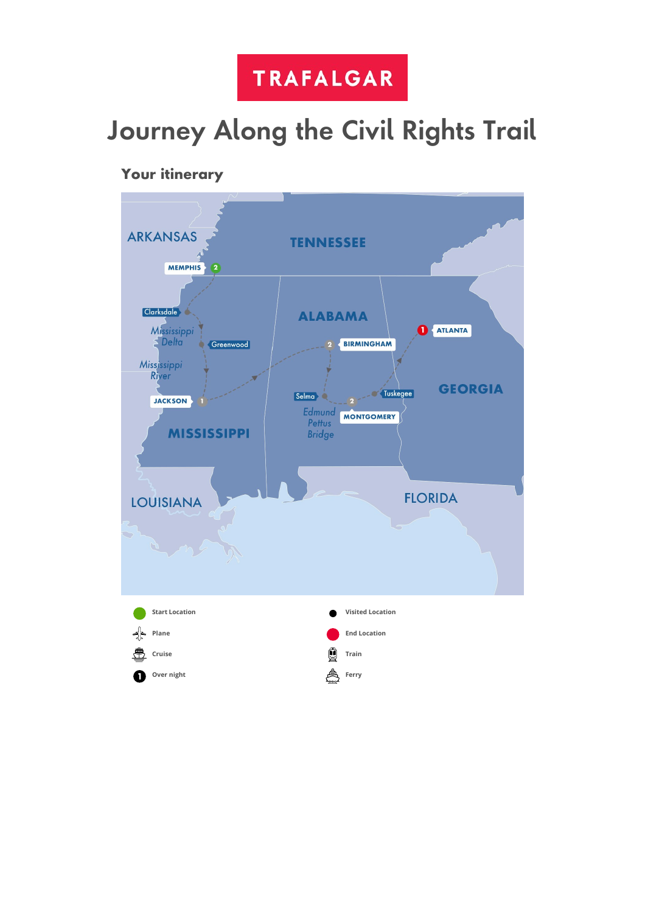

# Journey Along the Civil Rights Trail

# Your itinerary

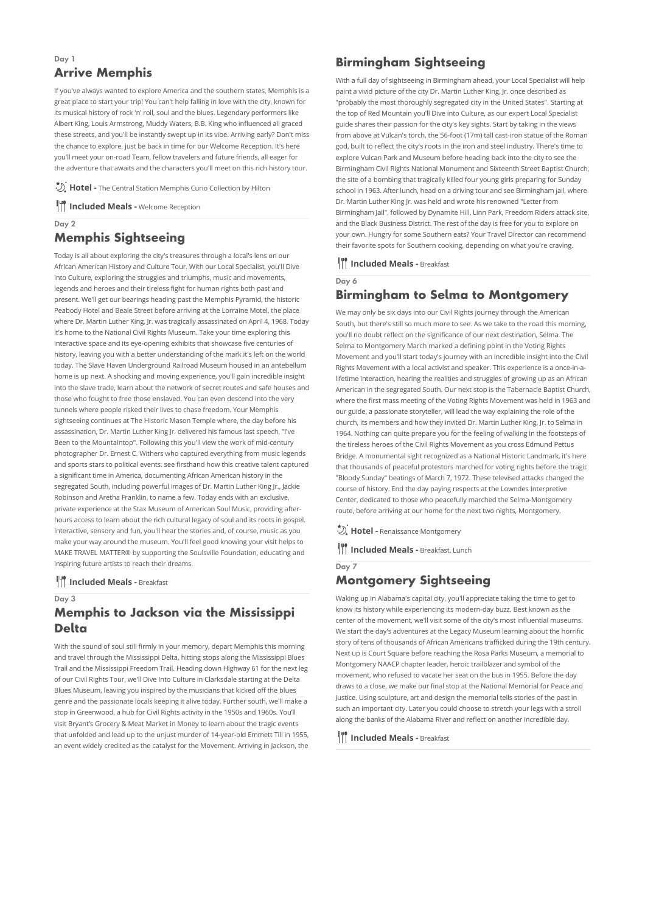# Arrive Memphis

Day 1

If you've always wanted to explore America and the southern states, Memphis is a great place to start your trip! You can't help falling in love with the city, known for its musical history of rock 'n' roll, soul and the blues. Legendary performers like Albert King, Louis Armstrong, Muddy Waters, B.B. King who influenced all graced these streets, and you'll be instantly swept up in its vibe. Arriving early? Don't miss the chance to explore, just be back in time for our Welcome Reception. It's here you'll meet your on-road Team, fellow travelers and future friends, all eager for the adventure that awaits and the characters you'll meet on this rich history tour.

**Hotel -** The Central Station Memphis Curio Collection by Hilton

**III** Included Meals - Welcome Reception

## Day 2 Memphis Sightseeing

Today is all about exploring the city's treasures through a local's lens on our African American History and Culture Tour. With our Local Specialist, you'll Dive into Culture, exploring the struggles and triumphs, music and movements, legends and heroes and their tireless fight for human rights both past and present. We'll get our bearings heading past the Memphis Pyramid, the historic Peabody Hotel and Beale Street before arriving at the Lorraine Motel, the place where Dr. Martin Luther King, Jr. was tragically assassinated on April 4, 1968. Today it's home to the National Civil Rights Museum. Take your time exploring this interactive space and its eye-opening exhibits that showcase five centuries of history, leaving you with a better understanding of the mark it's left on the world today. The Slave Haven Underground Railroad Museum housed in an antebellum home is up next. A shocking and moving experience, you'll gain incredible insight into the slave trade, learn about the network of secret routes and safe houses and those who fought to free those enslaved. You can even descend into the very tunnels where people risked their lives to chase freedom. Your Memphis sightseeing continues at The Historic Mason Temple where, the day before his assassination, Dr. Martin Luther King Jr. delivered his famous last speech, "I've Been to the Mountaintop". Following this you'll view the work of mid-century photographer Dr. Ernest C. Withers who captured everything from music legends and sports stars to political events. see firsthand how this creative talent captured a significant time in America, documenting African American history in the segregated South, including powerful images of Dr. Martin Luther King Jr., Jackie Robinson and Aretha Franklin, to name a few. Today ends with an exclusive, private experience at the Stax Museum of American Soul Music, providing afterhours access to learn about the rich cultural legacy of soul and its roots in gospel. Interactive, sensory and fun, you'll hear the stories and, of course, music as you make your way around the museum. You'll feel good knowing your visit helps to MAKE TRAVEL MATTER® by supporting the Soulsville Foundation, educating and inspiring future artists to reach their dreams.

**III** Included Meals - Breakfast

Day 3

## Memphis to Jackson via the Mississippi Delta

With the sound of soul still firmly in your memory, depart Memphis this morning and travel through the Mississippi Delta, hitting stops along the Mississippi Blues Trail and the Mississippi Freedom Trail. Heading down Highway 61 for the next leg of our Civil Rights Tour, we'll Dive Into Culture in Clarksdale starting at the Delta Blues Museum, leaving you inspired by the musicians that kicked off the blues genre and the passionate locals keeping it alive today. Further south, we'll make a stop in Greenwood, a hub for Civil Rights activity in the 1950s and 1960s. You'll visit Bryant's Grocery & Meat Market in Money to learn about the tragic events that unfolded and lead up to the unjust murder of 14-year-old Emmett Till in 1955, an event widely credited as the catalyst for the Movement. Arriving in Jackson, the

## Birmingham Sightseeing

With a full day of sightseeing in Birmingham ahead, your Local Specialist will help paint a vivid picture of the city Dr. Martin Luther King, Jr. once described as "probably the most thoroughly segregated city in the United States". Starting at the top of Red Mountain you'll Dive into Culture, as our expert Local Specialist guide shares their passion for the city's key sights. Start by taking in the views from above at Vulcan's torch, the 56-foot (17m) tall cast-iron statue of the Roman god, built to reflect the city's roots in the iron and steel industry. There's time to explore Vulcan Park and Museum before heading back into the city to see the Birmingham Civil Rights National Monument and Sixteenth Street Baptist Church, the site of a bombing that tragically killed four young girls preparing for Sunday school in 1963. After lunch, head on a driving tour and see Birmingham jail, where Dr. Martin Luther King Ir, was held and wrote his renowned "Letter from Birmingham Jail", followed by Dynamite Hill, Linn Park, Freedom Riders attack site, and the Black Business District. The rest of the day is free for you to explore on your own. Hungry for some Southern eats? Your Travel Director can recommend their favorite spots for Southern cooking, depending on what you're craving.

#### **III** Included Meals - Breakfast

Day 6

# Birmingham to Selma to Montgomery

We may only be six days into our Civil Rights journey through the American South, but there's still so much more to see. As we take to the road this morning, you'll no doubt reflect on the significance of our next destination, Selma. The Selma to Montgomery March marked a defining point in the Voting Rights Movement and you'll start today's journey with an incredible insight into the Civil Rights Movement with a local activist and speaker. This experience is a once-in-alifetime interaction, hearing the realities and struggles of growing up as an African American in the segregated South. Our next stop is the Tabernacle Baptist Church, where the first mass meeting of the Voting Rights Movement was held in 1963 and our guide, a passionate storyteller, will lead the way explaining the role of the church, its members and how they invited Dr. Martin Luther King, Jr. to Selma in 1964. Nothing can quite prepare you for the feeling of walking in the footsteps of the tireless heroes of the Civil Rights Movement as you cross Edmund Pettus Bridge. A monumental sight recognized as a National Historic Landmark, it's here that thousands of peaceful protestors marched for voting rights before the tragic "Bloody Sunday" beatings of March 7, 1972. These televised attacks changed the course of history. End the day paying respects at the Lowndes Interpretive Center, dedicated to those who peacefully marched the Selma-Montgomery route, before arriving at our home for the next two nights, Montgomery.

**Hotel -** Renaissance Montgomery

**III** Included Meals - Breakfast, Lunch

## Day 7 Montgomery Sightseeing

Waking up in Alabama's capital city, you'll appreciate taking the time to get to know its history while experiencing its modern-day buzz. Best known as the center of the movement, we'll visit some of the city's most influential museums. We start the day's adventures at the Legacy Museum learning about the horrific story of tens of thousands of African Americans trafficked during the 19th century. Next up is Court Square before reaching the Rosa Parks Museum, a memorial to Montgomery NAACP chapter leader, heroic trailblazer and symbol of the movement, who refused to vacate her seat on the bus in 1955. Before the day draws to a close, we make our final stop at the National Memorial for Peace and Justice. Using sculpture, art and design the memorial tells stories of the past in such an important city. Later you could choose to stretch your legs with a stroll along the banks of the Alabama River and reflect on another incredible day.

**III** Included Meals - Breakfast